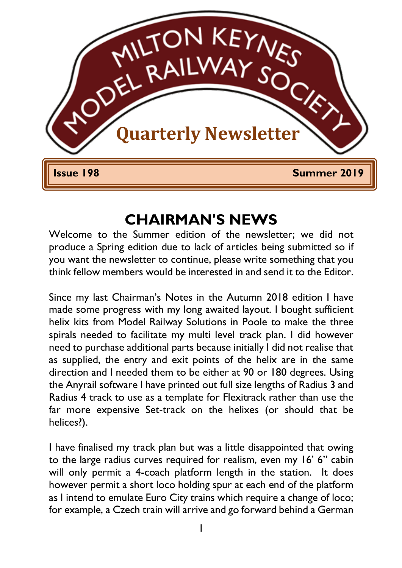

### **CHAIRMAN'S NEWS**

Welcome to the Summer edition of the newsletter; we did not produce a Spring edition due to lack of articles being submitted so if you want the newsletter to continue, please write something that you think fellow members would be interested in and send it to the Editor.

Since my last Chairman's Notes in the Autumn 2018 edition I have made some progress with my long awaited layout. I bought sufficient helix kits from Model Railway Solutions in Poole to make the three spirals needed to facilitate my multi level track plan. I did however need to purchase additional parts because initially I did not realise that as supplied, the entry and exit points of the helix are in the same direction and I needed them to be either at 90 or 180 degrees. Using the Anyrail software I have printed out full size lengths of Radius 3 and Radius 4 track to use as a template for Flexitrack rather than use the far more expensive Set-track on the helixes (or should that be helices?).

I have finalised my track plan but was a little disappointed that owing to the large radius curves required for realism, even my 16' 6" cabin will only permit a 4-coach platform length in the station. It does however permit a short loco holding spur at each end of the platform as I intend to emulate Euro City trains which require a change of loco; for example, a Czech train will arrive and go forward behind a German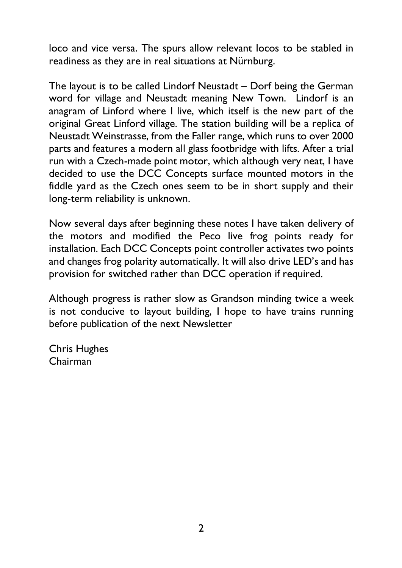loco and vice versa. The spurs allow relevant locos to be stabled in readiness as they are in real situations at Nürnburg.

The layout is to be called Lindorf Neustadt – Dorf being the German word for village and Neustadt meaning New Town. Lindorf is an anagram of Linford where I live, which itself is the new part of the original Great Linford village. The station building will be a replica of Neustadt Weinstrasse, from the Faller range, which runs to over 2000 parts and features a modern all glass footbridge with lifts. After a trial run with a Czech-made point motor, which although very neat, I have decided to use the DCC Concepts surface mounted motors in the fiddle yard as the Czech ones seem to be in short supply and their long-term reliability is unknown.

Now several days after beginning these notes I have taken delivery of the motors and modified the Peco live frog points ready for installation. Each DCC Concepts point controller activates two points and changes frog polarity automatically. It will also drive LED's and has provision for switched rather than DCC operation if required.

Although progress is rather slow as Grandson minding twice a week is not conducive to layout building, I hope to have trains running before publication of the next Newsletter

Chris Hughes Chairman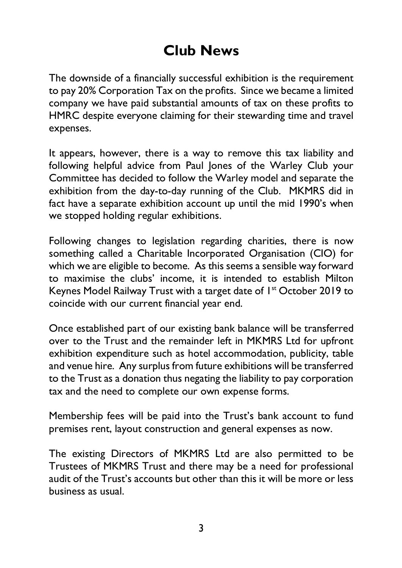## **Club News**

The downside of a financially successful exhibition is the requirement to pay 20% Corporation Tax on the profits. Since we became a limited company we have paid substantial amounts of tax on these profits to HMRC despite everyone claiming for their stewarding time and travel expenses.

It appears, however, there is a way to remove this tax liability and following helpful advice from Paul Jones of the Warley Club your Committee has decided to follow the Warley model and separate the exhibition from the day-to-day running of the Club. MKMRS did in fact have a separate exhibition account up until the mid 1990's when we stopped holding regular exhibitions.

Following changes to legislation regarding charities, there is now something called a Charitable Incorporated Organisation (CIO) for which we are eligible to become. As this seems a sensible way forward to maximise the clubs' income, it is intended to establish Milton Keynes Model Railway Trust with a target date of 1<sup>st</sup> October 2019 to coincide with our current financial year end.

Once established part of our existing bank balance will be transferred over to the Trust and the remainder left in MKMRS Ltd for upfront exhibition expenditure such as hotel accommodation, publicity, table and venue hire. Any surplus from future exhibitions will be transferred to the Trust as a donation thus negating the liability to pay corporation tax and the need to complete our own expense forms.

Membership fees will be paid into the Trust's bank account to fund premises rent, layout construction and general expenses as now.

The existing Directors of MKMRS Ltd are also permitted to be Trustees of MKMRS Trust and there may be a need for professional audit of the Trust's accounts but other than this it will be more or less business as usual.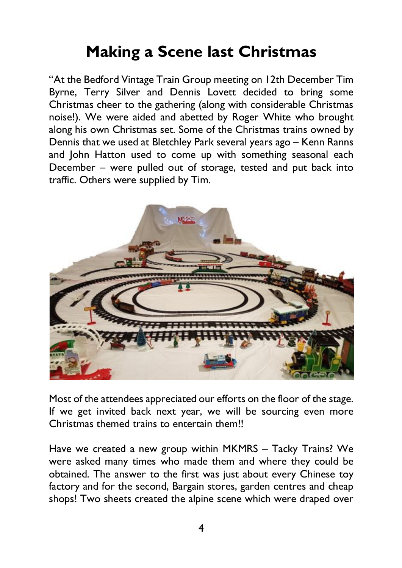## **Making a Scene last Christmas**

"At the Bedford Vintage Train Group meeting on 12th December Tim Byrne, Terry Silver and Dennis Lovett decided to bring some Christmas cheer to the gathering (along with considerable Christmas noise!). We were aided and abetted by Roger White who brought along his own Christmas set. Some of the Christmas trains owned by Dennis that we used at Bletchley Park several years ago – Kenn Ranns and John Hatton used to come up with something seasonal each December – were pulled out of storage, tested and put back into traffic. Others were supplied by Tim.



Most of the attendees appreciated our efforts on the floor of the stage. If we get invited back next year, we will be sourcing even more Christmas themed trains to entertain them!!

Have we created a new group within MKMRS – Tacky Trains? We were asked many times who made them and where they could be obtained. The answer to the first was just about every Chinese toy factory and for the second, Bargain stores, garden centres and cheap shops! Two sheets created the alpine scene which were draped over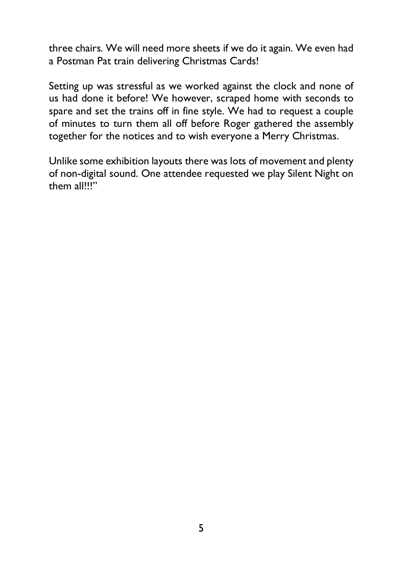three chairs. We will need more sheets if we do it again. We even had a Postman Pat train delivering Christmas Cards!

Setting up was stressful as we worked against the clock and none of us had done it before! We however, scraped home with seconds to spare and set the trains off in fine style. We had to request a couple of minutes to turn them all off before Roger gathered the assembly together for the notices and to wish everyone a Merry Christmas.

Unlike some exhibition layouts there was lots of movement and plenty of non-digital sound. One attendee requested we play Silent Night on them all!!!"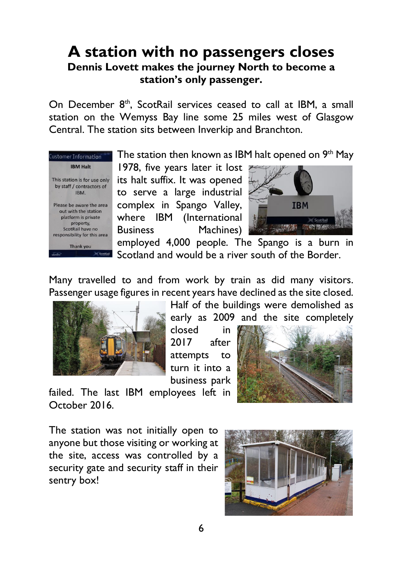### **A station with no passengers closes Dennis Lovett makes the journey North to become a station's only passenger.**

On December 8<sup>th</sup>, ScotRail services ceased to call at IBM, a small station on the Wemyss Bay line some 25 miles west of Glasgow Central. The station sits between Inverkip and Branchton.



The station then known as IBM halt opened on  $9<sup>th</sup>$  May

1978, five years later it lost its halt suffix. It was opened to serve a large industrial complex in Spango Valley, where IBM (International Business Machines)



employed 4,000 people. The Spango is a burn in Scotland and would be a river south of the Border.

Many travelled to and from work by train as did many visitors. Passenger usage figures in recent years have declined as the site closed.



Half of the buildings were demolished as early as 2009 and the site completely

closed in 2017 after attempts to turn it into a business park



failed. The last IBM employees left in October 2016.

The station was not initially open to anyone but those visiting or working at the site, access was controlled by a security gate and security staff in their sentry box!

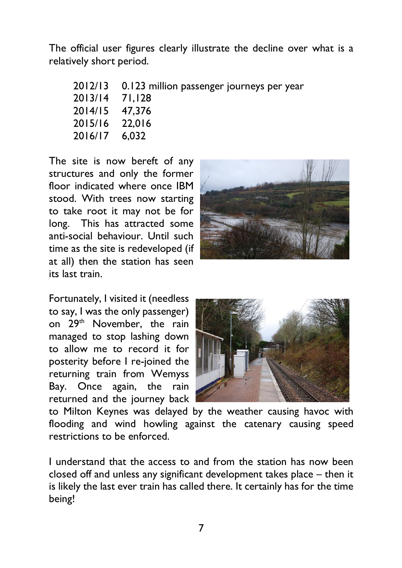The official user figures clearly illustrate the decline over what is a relatively short period.

|                | 2012/13 0.123 million passenger journeys per year |
|----------------|---------------------------------------------------|
| 2013/14 71,128 |                                                   |
| 2014/15 47,376 |                                                   |
| 2015/16 22.016 |                                                   |
| 2016/17 6,032  |                                                   |
|                |                                                   |

The site is now bereft of any structures and only the former floor indicated where once IBM stood. With trees now starting to take root it may not be for long. This has attracted some anti-social behaviour. Until such time as the site is redeveloped (if at all) then the station has seen its last train.



Fortunately, I visited it (needless to say, I was the only passenger) on 29<sup>th</sup> November, the rain managed to stop lashing down to allow me to record it for posterity before I re-joined the returning train from Wemyss Bay. Once again, the rain returned and the journey back



to Milton Keynes was delayed by the weather causing havoc with flooding and wind howling against the catenary causing speed restrictions to be enforced.

I understand that the access to and from the station has now been closed off and unless any significant development takes place – then it is likely the last ever train has called there. It certainly has for the time being!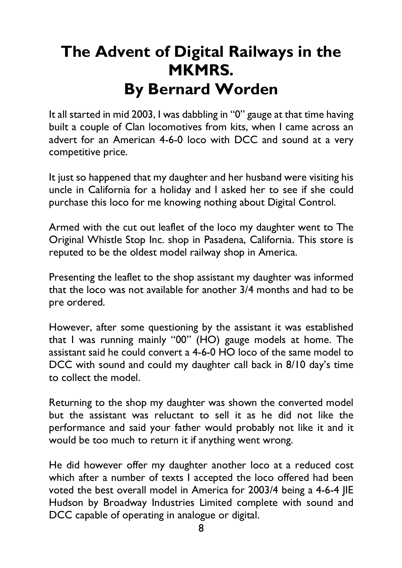# **The Advent of Digital Railways in the MKMRS. By Bernard Worden**

It all started in mid 2003, I was dabbling in "0" gauge at that time having built a couple of Clan locomotives from kits, when I came across an advert for an American 4-6-0 loco with DCC and sound at a very competitive price.

It just so happened that my daughter and her husband were visiting his uncle in California for a holiday and I asked her to see if she could purchase this loco for me knowing nothing about Digital Control.

Armed with the cut out leaflet of the loco my daughter went to The Original Whistle Stop Inc. shop in Pasadena, California. This store is reputed to be the oldest model railway shop in America.

Presenting the leaflet to the shop assistant my daughter was informed that the loco was not available for another 3/4 months and had to be pre ordered.

However, after some questioning by the assistant it was established that I was running mainly "00" (HO) gauge models at home. The assistant said he could convert a 4-6-0 HO loco of the same model to DCC with sound and could my daughter call back in 8/10 day's time to collect the model.

Returning to the shop my daughter was shown the converted model but the assistant was reluctant to sell it as he did not like the performance and said your father would probably not like it and it would be too much to return it if anything went wrong.

He did however offer my daughter another loco at a reduced cost which after a number of texts I accepted the loco offered had been voted the best overall model in America for 2003/4 being a 4-6-4 JIE Hudson by Broadway Industries Limited complete with sound and DCC capable of operating in analogue or digital.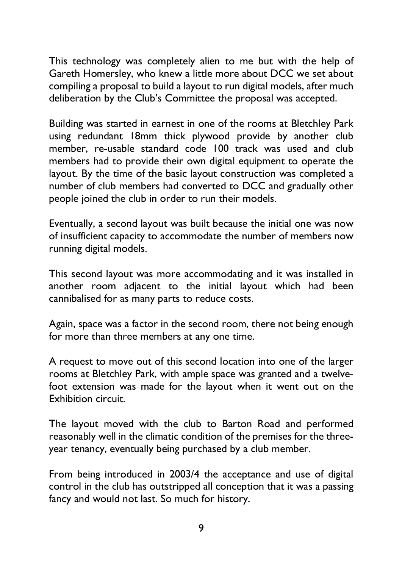This technology was completely alien to me but with the help of Gareth Homersley, who knew a little more about DCC we set about compiling a proposal to build a layout to run digital models, after much deliberation by the Club's Committee the proposal was accepted.

Building was started in earnest in one of the rooms at Bletchley Park using redundant 18mm thick plywood provide by another club member, re-usable standard code 100 track was used and club members had to provide their own digital equipment to operate the layout. By the time of the basic layout construction was completed a number of club members had converted to DCC and gradually other people joined the club in order to run their models.

Eventually, a second layout was built because the initial one was now of insufficient capacity to accommodate the number of members now running digital models.

This second layout was more accommodating and it was installed in another room adjacent to the initial layout which had been cannibalised for as many parts to reduce costs.

Again, space was a factor in the second room, there not being enough for more than three members at any one time.

A request to move out of this second location into one of the larger rooms at Bletchley Park, with ample space was granted and a twelvefoot extension was made for the layout when it went out on the Exhibition circuit.

The layout moved with the club to Barton Road and performed reasonably well in the climatic condition of the premises for the threeyear tenancy, eventually being purchased by a club member.

From being introduced in 2003/4 the acceptance and use of digital control in the club has outstripped all conception that it was a passing fancy and would not last. So much for history.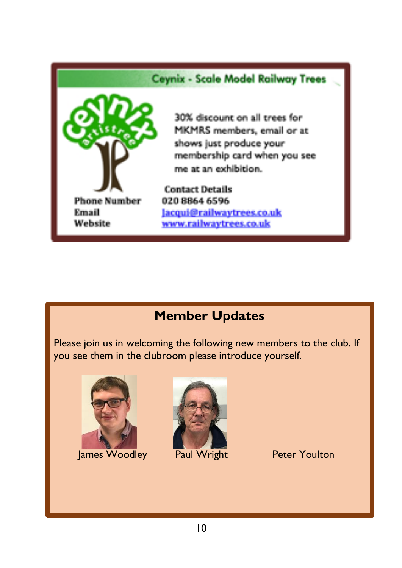#### **Ceynix - Scale Model Railway Trees**



30% discount on all trees for MKMRS members, email or at shows just produce your membership card when you see me at an exhibition.

**Contact Details** 020 8864 6596 Jacqui@railwaytrees.co.uk www.railwaytrees.co.uk

### **Member Updates**

Please join us in welcoming the following new members to the club. If you see them in the clubroom please introduce yourself.



James Woodley Paul Wright Peter Youlton